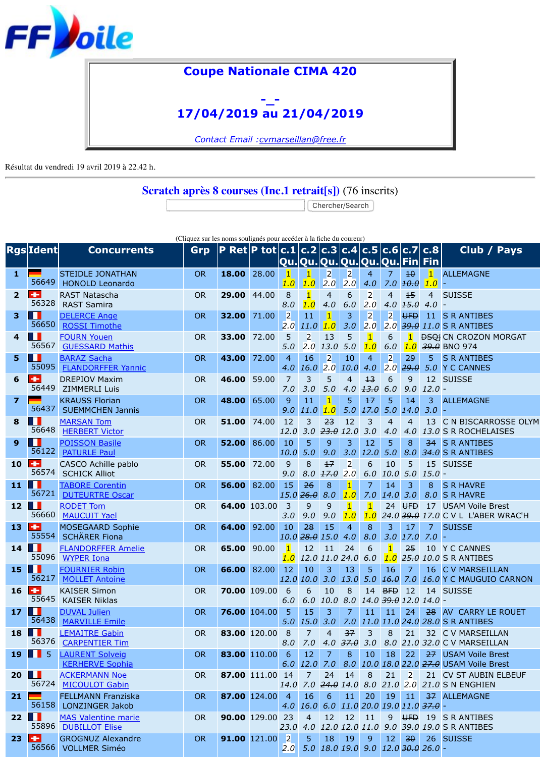|                         | <u>Irgaliacij</u>   | <b>CONCULTENTS</b>                                                | <b>GIP</b> | $ P $ KCL $ P $ tut $ C_1L C_1L C_1$ J $ C_1H C_1$ J $ C_1$ |              |                        |                                  |                       |                         | Qu. Qu. Qu. Qu. Qu. Qı       |                                        |
|-------------------------|---------------------|-------------------------------------------------------------------|------------|-------------------------------------------------------------|--------------|------------------------|----------------------------------|-----------------------|-------------------------|------------------------------|----------------------------------------|
| 1                       | 56649               | <b>STEIDLE JONATHAN</b><br><b>HONOLD Leonardo</b>                 | <b>OR</b>  | 18.00                                                       | 28.00        | $\vert$ 1<br>1.0       | $\mathbf{1}$<br>1.0              | $\overline{2}$<br>2.0 | $\overline{2}$<br>2.0   | $\overline{4}$<br>4.0        | 7.                                     |
| $\overline{2}$          | ٠<br>56328          | <b>RAST Natascha</b><br><b>RAST Samira</b>                        | <b>OR</b>  | 29.00                                                       | 44.00        | 8<br>8.0               | $\vert$ 1<br>1.0                 | $\overline{4}$<br>4.0 | 6<br>6.0                | $\overline{2}$<br>2.0        | 4<br>4.                                |
| 3                       | 56650               | <b>DELERCE Ange</b><br><b>ROSSI Timothe</b>                       | <b>OR</b>  | 32.00                                                       | 71.00        | $\overline{2}$<br>2.0  | 11<br>11.0                       | $\mathbf{1}$<br>1.0   | 3<br>3.0                | $\overline{2}$<br>2.0        | $\begin{bmatrix} 2 \\ 2 \end{bmatrix}$ |
| $\overline{\mathbf{4}}$ | 56567               | <b>FOURN Youen</b><br><b>GUESSARD Mathis</b>                      | <b>OR</b>  | 33.00                                                       | 72.00        | 5<br>5.0               | $\overline{2}$<br>2.0            | 13<br>13.0            | 5<br>5.0                | $\overline{1}$<br>1.0        | $\overline{6}$<br>6.                   |
| 5                       | ш<br>55095          | <b>BARAZ Sacha</b><br><b>FLANDORFFER Yannic</b>                   | <b>OR</b>  | 43.00                                                       | 72.00        | $\overline{4}$<br>4.0  | 16<br>16.0                       | $\overline{2}$<br>2.0 | 10<br>10.0              | $\overline{4}$<br>4.0        | $\overline{2}$<br>2.                   |
| 6                       | ٠<br>56449          | <b>DREPIOV Maxim</b><br><b>ZIMMERLI Luis</b>                      | <b>OR</b>  | 46.00                                                       | 59.00        | $\overline{7}$<br>7.0  | 3<br>3.0                         | 5<br>5.0              | $\overline{4}$<br>4.0   | $13$<br>13.0                 | $\overline{6}$<br>6.                   |
| $\overline{\mathbf{z}}$ | 56437               | <b>KRAUSS Florian</b><br><b>SUEMMCHEN Jannis</b>                  | <b>OR</b>  | 48.00                                                       | 65.00        | 9<br>9.0               | 11<br>11.0                       | $\mathbf{1}$<br>1.0   | 5<br>5.0                | 17<br>17.0                   | 5<br>5.                                |
| 8                       | 56648               | <b>MARSAN Tom</b><br><b>HERBERT Victor</b>                        | <b>OR</b>  | 51.00                                                       | 74.00        | 12<br>12.0             | 3<br>3.0                         | 23<br>$23.0$ 12.0     | 12                      | $\overline{3}$<br>3.0        | 4<br>4.                                |
| 9                       | ш<br>56122          | <b>POISSON Basile</b><br><b>PATURLE Paul</b>                      | <b>OR</b>  | 52.00                                                       | 86.00        | 10<br>10.0             | 5<br>5.0                         | 9<br>9.0              | 3<br>3.0                | 12<br>12.0                   | 5<br>5.                                |
| 10                      | ÷<br>56574          | CASCO Achille pablo<br><b>SCHICK Alliot</b>                       | <b>OR</b>  | 55.00                                                       | 72.00        | 9<br>9.0               | 8<br>8.0                         | 17<br>17.0            | $\overline{2}$<br>2.0   | 6<br>6.0                     | 1(<br>10                               |
| 11                      | ш<br>56721          | <b>TABORE Corentin</b>                                            | <b>OR</b>  | 56.00                                                       | 82.00        | 15                     | 26<br>15.0   26.0                | 8<br>8.0              | $\mathbf{1}$            | 7                            | 1 <sub>1</sub><br>14                   |
| 12                      | 56660               | <b>DUTEURTRE Oscar</b><br><b>RODET Tom</b><br><b>MAUCUIT Yael</b> | <b>OR</b>  | 64.00                                                       | 103.00       | 3                      | 9                                | 9                     | 1.0<br>$\vert$ 1<br>1.0 | 7.0<br>$\overline{1}$<br>1.0 | 2 <sup>4</sup><br>24                   |
| 13                      | ÷<br>55554          | <b>MOSEGAARD Sophie</b>                                           | <b>OR</b>  | 64.00                                                       | 92.00        | 3.0<br>10              | 9.0<br>28                        | 9.0<br>15             | $\overline{4}$          | 8                            |                                        |
| 14                      | ш<br>55096          | <b>SCHÄRER Fiona</b><br><b>FLANDORFFER Amelie</b>                 | <b>OR</b>  | 65.00                                                       | 90.00        | $\mathbf{1}$           | $10.0$ $28.0$ $15.0$ $4.0$<br>12 | 11                    | 24                      | 8.0<br>6                     | 3.                                     |
| 15                      | w<br>56217          | <b>WYPER Iona</b><br><b>FOURNIER Robin</b>                        | <b>OR</b>  | 66.00                                                       | 82.00        | 1.0<br>12              | 10                               | 12.0 11.0 24.0<br>3   | 13                      | 6.0<br>5                     | 1.<br>$\ddagger$                       |
| 16                      | ÷<br>55645          | <b>MOLLET Antoine</b><br><b>KAISER Simon</b>                      | <b>OR</b>  |                                                             | 70.00 109.00 | 12.0<br>6              | 10.0<br>6                        | 3.0<br>10             | 13.0<br>8               | 5.0<br>14                    | $\overline{16}$<br><b>BF</b>           |
| 17                      | ш                   | <b>KAISER Niklas</b><br><b>DUVAL Julien</b>                       | <b>OR</b>  |                                                             | 76.00 104.00 | 6.0<br>$5\phantom{1}$  | 6.0<br>15                        | 10.0<br>3             | 8.0<br>7                | $14.0$ 39<br>11              | $\mathbf{1}$                           |
| 18                      | 56438<br>ш          | <b>MARVILLE Emile</b><br><b>LEMAITRE Gabin</b>                    | <b>OR</b>  |                                                             | 83.00 120.00 | 5.0<br>8               | <b>15.0</b><br>$\overline{7}$    | 3.0<br>$\overline{4}$ | 7.0<br>37               | 11.0<br>3                    | 11<br>8                                |
| 19                      | 56376<br>-5<br>- 11 | <b>CARPENTIER Tim</b><br><b>LAURENT Solveig</b>                   | <b>OR</b>  |                                                             | 83.00 110.00 | 8.0<br>6               | 7.0<br>12                        | 4.0<br>$\overline{7}$ | 37.0<br>8               | 3.0<br>10                    | 8.<br>18                               |
| 20                      | ш                   | <b>KERHERVE Sophia</b><br><b>ACKERMANN Noe</b>                    | <b>OR</b>  |                                                             | 87.00 111.00 | 6.0<br>14              | 12.0<br>$\overline{7}$           | 7.0<br>24             | 8.0<br>14               | <b>10.0</b><br>8             | 18<br>2 <sup>1</sup>                   |
| 21                      | 56724               | <b>MICOULOT Gabin</b><br><b>FELLMANN Franziska</b>                | <b>OR</b>  | 87.00 124.00                                                |              | 14.0<br>$\overline{4}$ | 7.0<br>16                        | $24.0$ 14.0<br>6      | 11                      | 8.0<br>20                    | 21<br>1 <sup>′</sup>                   |
| 22                      | 56158<br>ш          | LONZINGER Jakob<br><b>MAS Valentine marie</b>                     | <b>OR</b>  |                                                             | 90.00 129.00 | 4.0<br>23              | <b>16.0</b><br>$\overline{4}$    | 6.0<br>12             | 12                      | 11.020.0<br>11               | 19<br>9                                |
| 23                      | 55896<br>÷          | <b>DUBILLOT Elise</b><br><b>GROGNUZ Alexandre</b>                 | <b>OR</b>  |                                                             | 91.00 121.00 | 23.0<br>$\overline{2}$ | 4.0<br>5 <sup>1</sup>            | 18                    | 19                      | 12.0 12.0 11.0<br>9          | 9.<br>$\mathbf{1}$                     |
|                         | 56566               | <b>VOLLMER Siméo</b>                                              |            |                                                             |              | 2.0                    | 5.0                              |                       | 18.0 19.0               | 9.0                          | 12                                     |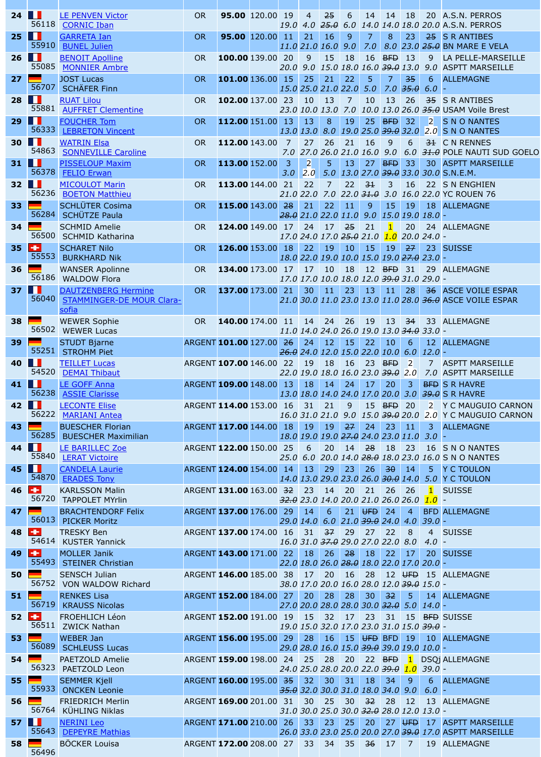|    | 55553                             | <b>BURKHARD Nik</b>                                                     |                            |                  |            | 18.0 22.0 19.0 10.0 15.0 19         |                                        |            |                 |                         |
|----|-----------------------------------|-------------------------------------------------------------------------|----------------------------|------------------|------------|-------------------------------------|----------------------------------------|------------|-----------------|-------------------------|
| 36 | 56186                             | <b>WANSER Apolinne</b><br><b>WALDOW Flora</b>                           | <b>OR</b>                  | 134.00 173.00 17 |            | 17<br>17.0 17.0 10.0 18.0 12.0 39   | 10                                     | 18         | $12$ BH         |                         |
| 37 | . .<br>56040                      | <b>DAUTZENBERG Hermine</b><br><b>STAMMINGER-DE MOUR Clara-</b><br>sofia | <b>OR</b>                  | 137.00 173.00    | 21         | 30<br>21.0 30.0 11.0 23.0 13.0 11   | 11                                     | 23         | 13              | $\vert 1 \rangle$       |
| 38 | 56502                             | <b>WEWER Sophie</b><br><b>WEWER Lucas</b>                               | <b>OR</b>                  | 140.00 174.00 11 |            | 14<br>11.0 14.0 24.0 26.0 19.0 13   | 24                                     | 26         | 19              | $\vert$ 11              |
| 39 | 55251                             | <b>STUDT Bjarne</b><br><b>STROHM Piet</b>                               | ARGENT 101.00 127.00 26    |                  |            | 24<br>$26.0$ 24.0 12.0 15.0 22.0 10 | 12                                     | 15         | 22 <sub>2</sub> | $\mathbf 1$             |
| 40 | w<br>54520                        | <b>TEILLET Lucas</b><br><b>DEMAI Thibaut</b>                            | ARGENT 107.00 146.00       |                  | 22         | 19<br>22.0 19.0 18.0 16.0 23.0 39   | 18                                     | 16         | 23              | <b>BF</b>               |
| 41 | Ш<br>56238                        | <b>LE GOFF Anna</b><br><b>ASSIE Clarisse</b>                            | ARGENT 109.00 148.00       |                  | 13         | 18<br>13.0 18.0 14.0 24.0 17.0 20   | 14                                     | 24         | 17              | $\overline{2}$          |
| 42 | . .<br>56222                      | <b>LECONTE Elise</b><br><b>MARIANI Antea</b>                            | ARGENT 114.00 153.00 16    |                  |            | 31<br>16.0 31.0 21.0 9.0            | 21                                     | 9          | 15<br>15.039    | <b>BF</b>               |
| 43 | 56285                             | <b>BUESCHER Florian</b><br><b>BUESCHER Maximilian</b>                   | ARGENT 117.00 144.00       |                  | 18         | 19<br>18.0 19.0 19.0 27.0 24.0 23   | 19                                     | 27         | 24              | $\overline{2}$          |
| 44 | w<br>55840                        | LE BARILLEC Zoe<br><b>LERAT Victoire</b>                                | ARGENT 122.00 150.00       |                  | 25<br>25.0 | 6                                   | 20<br>6.0 20.0 14.0 <del>28.0</del> 18 | 14         | 28              | -18                     |
| 45 | H<br>54870                        | <b>CANDELA Laurie</b><br><b>ERADES Tony</b>                             | ARGENT 124.00 154.00       |                  | 14         | 13<br>14.0 13.0 29.0 23.0 26.0 30   | 29                                     | 23         | 26              | $\overline{\mathbf{3}}$ |
| 46 | $\pm$<br>56720                    | <b>KARLSSON Malin</b><br><b>TAPPOLET MYrlin</b>                         | ARGENT 131.00 163.00 32    |                  |            | 23<br>32.0 23.0 14.0 20.0 21.0 26   | 14                                     | 20         | 21              | 2 <sub>0</sub>          |
| 47 | 56013                             | <b>BRACHTENDORF Felix</b><br><b>PICKER Moritz</b>                       | ARGENT 137.00 176.00       |                  | 29         | 14<br>29.0 14.0 6.0 21.0 39.0 24    | 6                                      |            | $21$ UFD        | $\overline{2}$          |
| 48 | $\pm$<br>54614                    | <b>TRESKY Ben</b><br><b>KUSTER Yannick</b>                              | ARGENT 137.00 174.00 16 31 |                  |            | 16.0 31.0 37.0 29.0 27.0 22         |                                        | $37$ 29    | 27              | 21                      |
| 49 | ÷<br>55493                        | <b>MOLLER Janik</b><br><b>STEINER Christian</b>                         | ARGENT 143.00 171.00 22    |                  |            | 18<br>22.0 18.0 26.0 28.0 18.0 22   | 26                                     | 28         | 18              | $\overline{2}$          |
| 50 | 56752                             | <b>SENSCH Julian</b><br><b>VON WALDOW Richard</b>                       | ARGENT 146.00 185.00 38    |                  |            | 17<br>38.0 17.0 20.0 16.0 28.0 12   | 20                                     | 16         | 28              | $\vert$ 11              |
| 51 | 56719                             | <b>RENKES Lisa</b><br><b>KRAUSS Nicolas</b>                             | ARGENT 152.00 184.00       |                  | 27         | 20<br>27.0 20.0 28.0 28.0 30.0 32   | 28                                     | 28         | 30              | $-31$                   |
| 52 | H.<br>56511                       | <b>FROEHLICH Léon</b><br><b>ZWICK Nathan</b>                            | ARGENT 152.00 191.00 19    |                  |            | 15<br>19.0 15.0 32.0 17.0 23.0 31   | 32                                     | $\vert$ 17 | 23              | 3 <sup>i</sup>          |
| 53 | 56089                             | <b>WEBER Jan</b><br><b>SCHLEUSS Lucas</b>                               | ARGENT 156.00 195.00 29    |                  |            | 28<br>29.0 28.0 16.0 15.0 39.0 39   | 16                                     |            | 15 UFD BH       |                         |
| 54 | 56323                             | <b>PAETZOLD Amelie</b><br>PAETZOLD Leon                                 | ARGENT 159.00 198.00 24 25 |                  |            | 24.0 25.0 28.0 20.0 22.0 39         | 28                                     | 20         | $22$ BF         |                         |
| 55 | 55933                             | <b>SEMMER Kjell</b><br><b>ONCKEN Leonie</b>                             | ARGENT 160.00 195.00 35    |                  |            | 32<br>35.0 32.0 30.0 31.0 18.0 34   | 30                                     | 31         | 18              | 3 <sup>1</sup>          |
| 56 | 56764                             | <b>FRIEDRICH Merlin</b><br><b>KÜHLING Niklas</b>                        | ARGENT 169.00 201.00 31    |                  |            | 30<br>31.0 30.0 25.0 30.0 32.0 28   | 25                                     | 30         | 32              | 2 <sup>1</sup>          |
| 57 | <b>The Second Second</b><br>55643 | <b>NERINI Leo</b><br><b>DEPEYRE Mathias</b>                             | ARGENT 171.00 210.00 26    |                  |            | 33<br>26.0 33.0 23.0 25.0 20.0 27   | 23                                     | 25         | 20              | $\overline{2}$          |
| 58 | 56496                             | <b>BÖCKER Louisa</b>                                                    | ARGENT 172.00 208.00 27    |                  |            | 33                                  | 34                                     | 35         | 36              | $\vert 1 \vert$         |